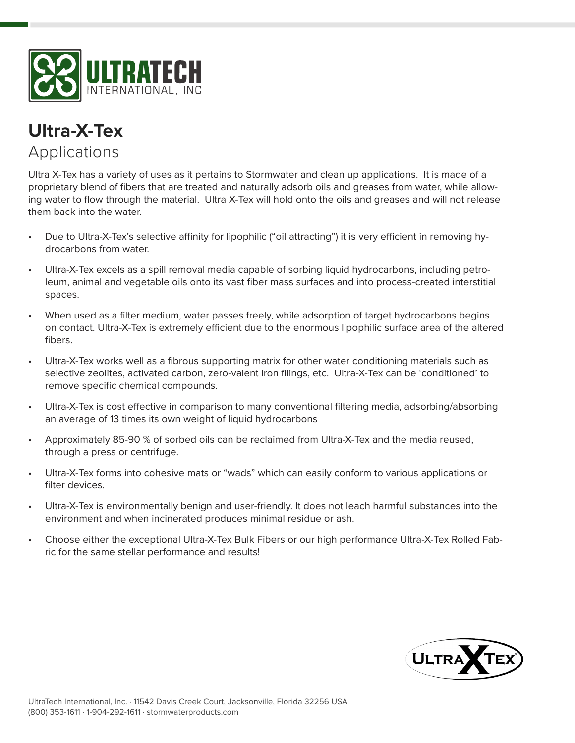



Ultra X-Tex has a variety of uses as it pertains to Stormwater and clean up applications. It is made of a proprietary blend of fibers that are treated and naturally adsorb oils and greases from water, while allowing water to flow through the material. Ultra X-Tex will hold onto the oils and greases and will not release them back into the water.

- Due to Ultra-X-Tex's selective affinity for lipophilic ("oil attracting") it is very efficient in removing hydrocarbons from water.
- Ultra-X-Tex excels as a spill removal media capable of sorbing liquid hydrocarbons, including petroleum, animal and vegetable oils onto its vast fiber mass surfaces and into process-created interstitial spaces.
- When used as a filter medium, water passes freely, while adsorption of target hydrocarbons begins on contact. Ultra-X-Tex is extremely efficient due to the enormous lipophilic surface area of the altered fibers.
- Ultra-X-Tex works well as a fibrous supporting matrix for other water conditioning materials such as selective zeolites, activated carbon, zero-valent iron filings, etc. Ultra-X-Tex can be 'conditioned' to remove specific chemical compounds.
- Ultra-X-Tex is cost effective in comparison to many conventional filtering media, adsorbing/absorbing an average of 13 times its own weight of liquid hydrocarbons
- Approximately 85-90 % of sorbed oils can be reclaimed from Ultra-X-Tex and the media reused, through a press or centrifuge.
- Ultra-X-Tex forms into cohesive mats or "wads" which can easily conform to various applications or filter devices.
- Ultra-X-Tex is environmentally benign and user-friendly. It does not leach harmful substances into the environment and when incinerated produces minimal residue or ash.
- Choose either the exceptional Ultra-X-Tex Bulk Fibers or our high performance Ultra-X-Tex Rolled Fabric for the same stellar performance and results!

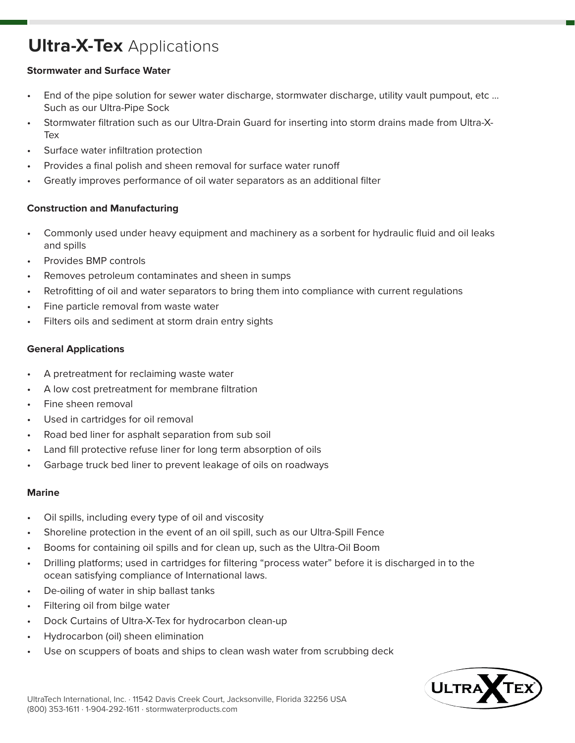# **Ultra-X-Tex** Applications

### **Stormwater and Surface Water**

- End of the pipe solution for sewer water discharge, stormwater discharge, utility vault pumpout, etc ... Such as our Ultra-Pipe Sock
- Stormwater filtration such as our Ultra-Drain Guard for inserting into storm drains made from Ultra-X-Tex
- Surface water infiltration protection
- Provides a final polish and sheen removal for surface water runoff
- Greatly improves performance of oil water separators as an additional filter

# **Construction and Manufacturing**

- Commonly used under heavy equipment and machinery as a sorbent for hydraulic fluid and oil leaks and spills
- Provides BMP controls
- Removes petroleum contaminates and sheen in sumps
- Retrofitting of oil and water separators to bring them into compliance with current regulations
- Fine particle removal from waste water
- Filters oils and sediment at storm drain entry sights

# **General Applications**

- A pretreatment for reclaiming waste water
- A low cost pretreatment for membrane filtration
- Fine sheen removal
- Used in cartridges for oil removal
- Road bed liner for asphalt separation from sub soil
- Land fill protective refuse liner for long term absorption of oils
- Garbage truck bed liner to prevent leakage of oils on roadways

### **Marine**

- Oil spills, including every type of oil and viscosity
- Shoreline protection in the event of an oil spill, such as our Ultra-Spill Fence
- Booms for containing oil spills and for clean up, such as the Ultra-Oil Boom
- Drilling platforms; used in cartridges for filtering "process water" before it is discharged in to the ocean satisfying compliance of International laws.
- De-oiling of water in ship ballast tanks
- Filtering oil from bilge water
- Dock Curtains of Ultra-X-Tex for hydrocarbon clean-up
- Hydrocarbon (oil) sheen elimination
- Use on scuppers of boats and ships to clean wash water from scrubbing deck